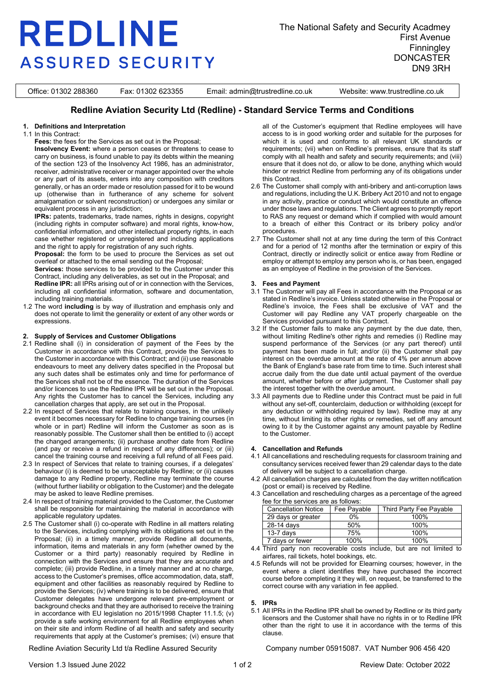# **REDLINE ASSURED SECURITY**

The National Safety and Security Acadmey First Avenue **Finningley DONCASTER** DN9 3RH

Office: 01302 288360 Fax: 01302 623355 Email: admin@trustredline.co.uk Website: www.trustredline.co.uk

### **Redline Aviation Security Ltd (Redline) - Standard Service Terms and Conditions**

#### **1. Definitions and Interpretation**

1.1 In this Contract:

**Fees:** the fees for the Services as set out in the Proposal;

**Insolvency Event:** where a person ceases or threatens to cease to carry on business, is found unable to pay its debts within the meaning of the section 123 of the Insolvency Act 1986, has an administrator, receiver, administrative receiver or manager appointed over the whole or any part of its assets, enters into any composition with creditors generally, or has an order made or resolution passed for it to be wound up (otherwise than in furtherance of any scheme for solvent amalgamation or solvent reconstruction) or undergoes any similar or equivalent process in any jurisdiction;

**IPRs:** patents, trademarks, trade names, rights in designs, copyright (including rights in computer software) and moral rights, know-how, confidential information, and other intellectual property rights, in each case whether registered or unregistered and including applications and the right to apply for registration of any such rights.

**Proposal:** the form to be used to procure the Services as set out overleaf or attached to the email sending out the Proposal;

**Services:** those services to be provided to the Customer under this Contract, including any deliverables, as set out in the Proposal; and **Redline IPR:** all IPRs arising out of or in connection with the Services, including all confidential information, software and documentation, including training materials.

1.2 The word **including** is by way of illustration and emphasis only and does not operate to limit the generality or extent of any other words or expressions.

#### **2. Supply of Services and Customer Obligations**

- 2.1 Redline shall (i) in consideration of payment of the Fees by the Customer in accordance with this Contract, provide the Services to the Customer in accordance with this Contract; and (ii) use reasonable endeavours to meet any delivery dates specified in the Proposal but any such dates shall be estimates only and time for performance of the Services shall not be of the essence. The duration of the Services and/or licences to use the Redline IPR will be set out in the Proposal. Any rights the Customer has to cancel the Services, including any cancellation charges that apply, are set out in the Proposal.
- 2.2 In respect of Services that relate to training courses, in the unlikely event it becomes necessary for Redline to change training courses (in whole or in part) Redline will inform the Customer as soon as is reasonably possible. The Customer shall then be entitled to (i) accept the changed arrangements; (ii) purchase another date from Redline (and pay or receive a refund in respect of any differences); or (iii) cancel the training course and receiving a full refund of all Fees paid.
- 2.3 In respect of Services that relate to training courses, if a delegates' behaviour (i) is deemed to be unacceptable by Redline; or (ii) causes damage to any Redline property, Redline may terminate the course (without further liability or obligation to the Customer) and the delegate may be asked to leave Redline premises.
- 2.4 In respect of training material provided to the Customer, the Customer shall be responsible for maintaining the material in accordance with applicable regulatory updates.
- 2.5 The Customer shall (i) co-operate with Redline in all matters relating to the Services, including complying with its obligations set out in the Proposal; (ii) in a timely manner, provide Redline all documents, information, items and materials in any form (whether owned by the Customer or a third party) reasonably required by Redline in connection with the Services and ensure that they are accurate and complete; (iii) provide Redline, in a timely manner and at no charge, access to the Customer's premises, office accommodation, data, staff, equipment and other facilities as reasonably required by Redline to provide the Services; (iv) where training is to be delivered, ensure that Customer delegates have undergone relevant pre-employment or background checks and that they are authorised to receive the training in accordance with EU legislation no 2015/1998 Chapter 11.1.5; (v) provide a safe working environment for all Redline employees when on their site and inform Redline of all health and safety and security requirements that apply at the Customer's premises; (vi) ensure that

all of the Customer's equipment that Redline employees will have access to is in good working order and suitable for the purposes for which it is used and conforms to all relevant UK standards or requirements; (vii) when on Redline's premises, ensure that its staff comply with all health and safety and security requirements; and (viii) ensure that it does not do, or allow to be done, anything which would hinder or restrict Redline from performing any of its obligations under this Contract.

- 2.6 The Customer shall comply with anti-bribery and anti-corruption laws and regulations, including the U.K. Bribery Act 2010 and not to engage in any activity, practice or conduct which would constitute an offence under those laws and regulations. The Client agrees to promptly report to RAS any request or demand which if complied with would amount to a breach of either this Contract or its bribery policy and/or procedures.
- 2.7 The Customer shall not at any time during the term of this Contract and for a period of 12 months after the termination or expiry of this Contract, directly or indirectly solicit or entice away from Redline or employ or attempt to employ any person who is, or has been, engaged as an employee of Redline in the provision of the Services.

#### **3. Fees and Payment**

- 3.1 The Customer will pay all Fees in accordance with the Proposal or as stated in Redline's invoice. Unless stated otherwise in the Proposal or Redline's invoice, the Fees shall be exclusive of VAT and the Customer will pay Redline any VAT properly chargeable on the Services provided pursuant to this Contract.
- 3.2 If the Customer fails to make any payment by the due date, then, without limiting Redline's other rights and remedies (i) Redline may suspend performance of the Services (or any part thereof) until payment has been made in full; and/or (ii) the Customer shall pay interest on the overdue amount at the rate of 4% per annum above the Bank of England's base rate from time to time. Such interest shall accrue daily from the due date until actual payment of the overdue amount, whether before or after judgment. The Customer shall pay the interest together with the overdue amount.
- 3.3 All payments due to Redline under this Contract must be paid in full without any set-off, counterclaim, deduction or withholding (except for any deduction or withholding required by law). Redline may at any time, without limiting its other rights or remedies, set off any amount owing to it by the Customer against any amount payable by Redline to the Customer.

#### <span id="page-0-0"></span>**4. Cancellation and Refunds**

- 4.1 All cancellations and rescheduling requests for classroom training and consultancy services received fewer than 29 calendar days to the date of delivery will be subject to a cancellation charge.
- 4.2 All cancellation charges are calculated from the day written notification (post or email) is received by Redline.
- 4.3 Cancellation and rescheduling charges as a percentage of the agreed fee for the services are as follows:

|  | <b>Cancellation Notice</b> | Fee Payable | Third Party Fee Pavable |
|--|----------------------------|-------------|-------------------------|
|  | 29 days or greater         | 0%          | 100%                    |
|  | 28-14 days                 | 50%         | 100%                    |
|  | $13-7$ davs                | 75%         | 100%                    |
|  | 7 davs or fewer            | 100%        | 100%                    |

- 4.4 Third party non recoverable costs include, but are not limited to airfares, rail tickets, hotel bookings, etc.
- 4.5 Refunds will not be provided for Elearning courses; however, in the event where a client identifies they have purchased the incorrect course before completing it they will, on request, be transferred to the correct course with any variation in fee applied.

#### **5. IPRs**

5.1 All IPRs in the Redline IPR shall be owned by Redline or its third party licensors and the Customer shall have no rights in or to Redline IPR other than the right to use it in accordance with the terms of this clause.

Redline Aviation Security Ltd t/a Redline Assured Security Company number 05915087. VAT Number 906 456 420